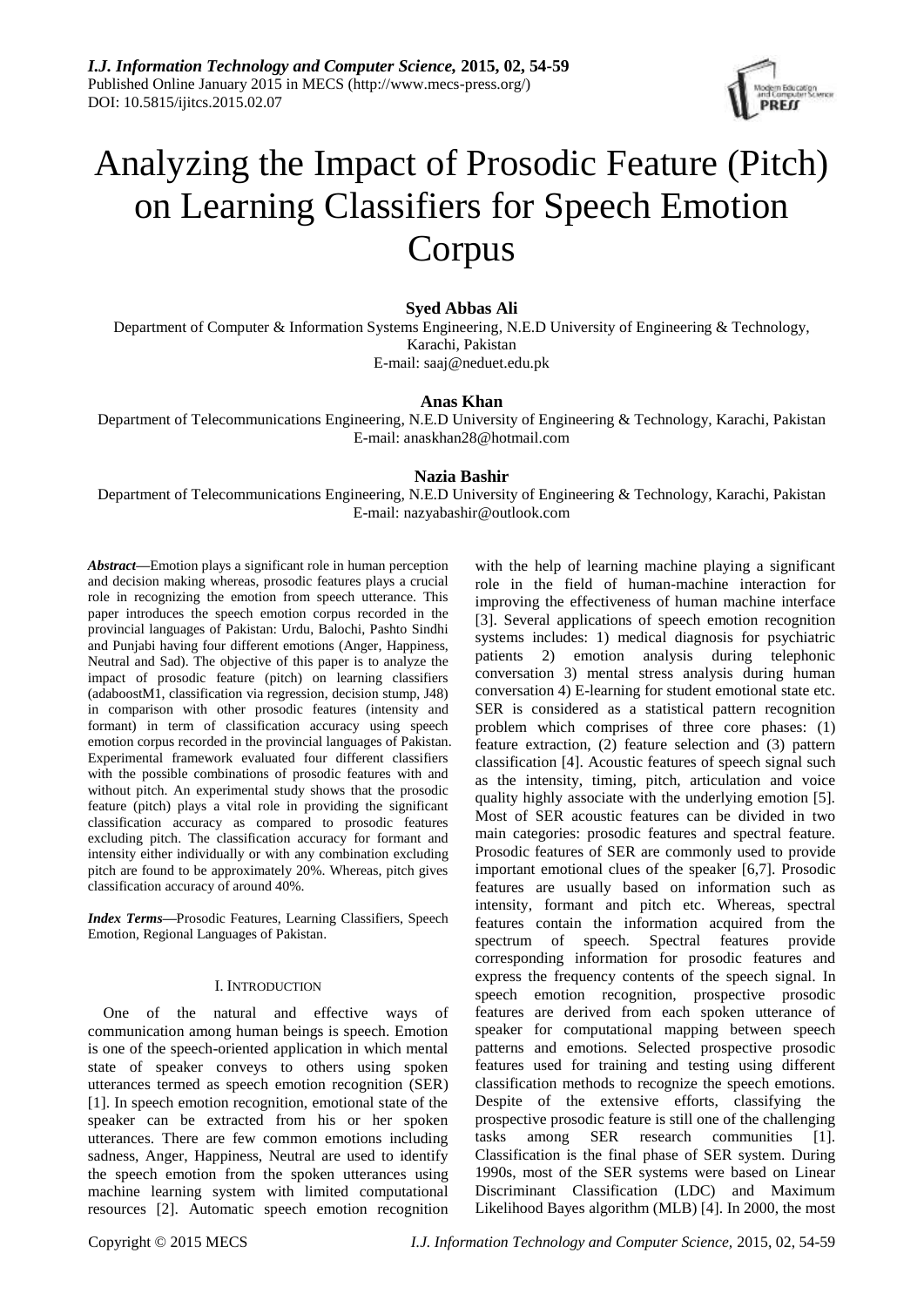

# Analyzing the Impact of Prosodic Feature (Pitch) on Learning Classifiers for Speech Emotion Corpus

# **Syed Abbas Ali**

Department of Computer & Information Systems Engineering, N.E.D University of Engineering & Technology, Karachi, Pakistan E-mail: saaj@neduet.edu.pk

# **Anas Khan**

Department of Telecommunications Engineering, N.E.D University of Engineering & Technology, Karachi, Pakistan E-mail: [anaskhan28@hotmail.com](mailto:anaskhan28@hotmail.com)

# **Nazia Bashir**

Department of Telecommunications Engineering, N.E.D University of Engineering & Technology, Karachi, Pakistan E-mail: [nazyabashir@outlook.com](mailto:nazyabashir@outlook.com)

*Abstract***—**Emotion plays a significant role in human perception and decision making whereas, prosodic features plays a crucial role in recognizing the emotion from speech utterance. This paper introduces the speech emotion corpus recorded in the provincial languages of Pakistan: Urdu, Balochi, Pashto Sindhi and Punjabi having four different emotions (Anger, Happiness, Neutral and Sad). The objective of this paper is to analyze the impact of prosodic feature (pitch) on learning classifiers (adaboostM1, classification via regression, decision stump, J48) in comparison with other prosodic features (intensity and formant) in term of classification accuracy using speech emotion corpus recorded in the provincial languages of Pakistan. Experimental framework evaluated four different classifiers with the possible combinations of prosodic features with and without pitch. An experimental study shows that the prosodic feature (pitch) plays a vital role in providing the significant classification accuracy as compared to prosodic features excluding pitch. The classification accuracy for formant and intensity either individually or with any combination excluding pitch are found to be approximately 20%. Whereas, pitch gives classification accuracy of around 40%.

*Index Terms***—**Prosodic Features, Learning Classifiers, Speech Emotion, Regional Languages of Pakistan.

## I. INTRODUCTION

One of the natural and effective ways of communication among human beings is speech. Emotion is one of the speech-oriented application in which mental state of speaker conveys to others using spoken utterances termed as speech emotion recognition (SER) [1]. In speech emotion recognition, emotional state of the speaker can be extracted from his or her spoken utterances. There are few common emotions including sadness, Anger, Happiness, Neutral are used to identify the speech emotion from the spoken utterances using machine learning system with limited computational resources [2]. Automatic speech emotion recognition

with the help of learning machine playing a significant role in the field of human-machine interaction for improving the effectiveness of human machine interface [3]. Several applications of speech emotion recognition systems includes: 1) medical diagnosis for psychiatric patients 2) emotion analysis during telephonic conversation 3) mental stress analysis during human conversation 4) E-learning for student emotional state etc. SER is considered as a statistical pattern recognition problem which comprises of three core phases: (1) feature extraction, (2) feature selection and (3) pattern classification [4]. Acoustic features of speech signal such as the intensity, timing, pitch, articulation and voice quality highly associate with the underlying emotion [5]. Most of SER acoustic features can be divided in two main categories: prosodic features and spectral feature. Prosodic features of SER are commonly used to provide important emotional clues of the speaker [6,7]. Prosodic features are usually based on information such as intensity, formant and pitch etc. Whereas, spectral features contain the information acquired from the spectrum of speech. Spectral features provide corresponding information for prosodic features and express the frequency contents of the speech signal. In speech emotion recognition, prospective prosodic features are derived from each spoken utterance of speaker for computational mapping between speech patterns and emotions. Selected prospective prosodic features used for training and testing using different classification methods to recognize the speech emotions. Despite of the extensive efforts, classifying the prospective prosodic feature is still one of the challenging tasks among SER research communities [1]. Classification is the final phase of SER system. During 1990s, most of the SER systems were based on Linear Discriminant Classification (LDC) and Maximum Likelihood Bayes algorithm (MLB) [4]. In 2000, the most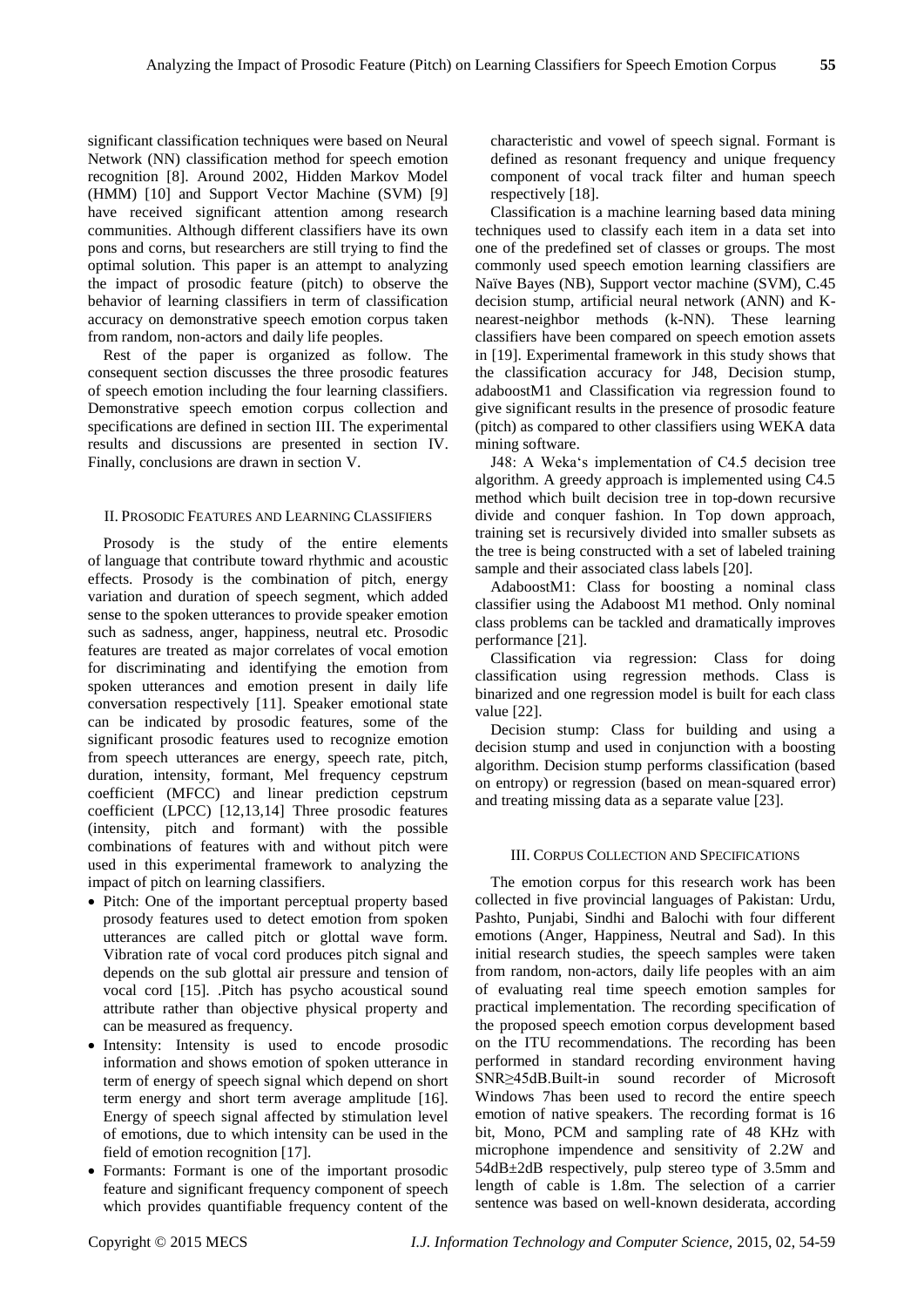significant classification techniques were based on Neural Network (NN) classification method for speech emotion recognition [8]. Around 2002, Hidden Markov Model (HMM) [10] and Support Vector Machine (SVM) [9] have received significant attention among research communities. Although different classifiers have its own pons and corns, but researchers are still trying to find the optimal solution. This paper is an attempt to analyzing the impact of prosodic feature (pitch) to observe the behavior of learning classifiers in term of classification accuracy on demonstrative speech emotion corpus taken from random, non-actors and daily life peoples.

Rest of the paper is organized as follow. The consequent section discusses the three prosodic features of speech emotion including the four learning classifiers. Demonstrative speech emotion corpus collection and specifications are defined in section III. The experimental results and discussions are presented in section IV. Finally, conclusions are drawn in section V.

### II. PROSODIC FEATURES AND LEARNING CLASSIFIERS

Prosody is the study of the entire elements of [language](http://www.britannica.com/EBchecked/topic/329791/language) that contribute toward rhythmic and acoustic effects. Prosody is the combination of pitch, energy variation and duration of speech segment, which added sense to the spoken utterances to provide speaker emotion such as sadness, anger, happiness, neutral etc. Prosodic features are treated as major correlates of vocal emotion for discriminating and identifying the emotion from spoken utterances and emotion present in daily life conversation respectively [11]. Speaker emotional state can be indicated by prosodic features, some of the significant prosodic features used to recognize emotion from speech utterances are energy, speech rate, pitch, duration, intensity, formant, Mel frequency cepstrum coefficient (MFCC) and linear prediction cepstrum coefficient (LPCC) [12,13,14] Three prosodic features (intensity, pitch and formant) with the possible combinations of features with and without pitch were used in this experimental framework to analyzing the impact of pitch on learning classifiers.

- Pitch: One of the important perceptual property based prosody features used to detect emotion from spoken utterances are called pitch or glottal wave form. Vibration rate of vocal cord produces pitch signal and depends on the sub glottal air pressure and tension of vocal cord [15]. .Pitch has psycho acoustical sound attribute rather than objective physical property and can be measured as frequency.
- Intensity: Intensity is used to encode prosodic information and shows emotion of spoken utterance in term of energy of speech signal which depend on short term energy and short term average amplitude [16]. Energy of speech signal affected by stimulation level of emotions, due to which intensity can be used in the field of emotion recognition [17].
- Formants: Formant is one of the important prosodic feature and significant frequency component of speech which provides quantifiable frequency content of the

characteristic and vowel of speech signal. Formant is defined as resonant frequency and unique frequency component of vocal track filter and human speech respectively [18].

Classification is a machine learning based data mining techniques used to classify each item in a data set into one of the predefined set of classes or groups. The most commonly used speech emotion learning classifiers are Naïve Bayes (NB), Support vector machine (SVM), C.45 decision stump, artificial neural network (ANN) and Knearest-neighbor methods (k-NN). These learning classifiers have been compared on speech emotion assets in [19]. Experimental framework in this study shows that the classification accuracy for J48, Decision stump, adaboostM1 and Classification via regression found to give significant results in the presence of prosodic feature (pitch) as compared to other classifiers using WEKA data mining software.

J48: A Weka's implementation of C4.5 decision tree algorithm. A greedy approach is implemented using C4.5 method which built decision tree in top-down recursive divide and conquer fashion. In Top down approach, training set is recursively divided into smaller subsets as the tree is being constructed with a set of labeled training sample and their associated class labels [20].

AdaboostM1: Class for boosting a nominal class classifier using the Adaboost M1 method. Only nominal class problems can be tackled and dramatically improves performance [21].

Classification via regression: Class for doing classification using regression methods. Class is binarized and one regression model is built for each class value [22].

Decision stump: Class for building and using a decision stump and used in conjunction with a boosting algorithm. Decision stump performs classification (based on entropy) or regression (based on mean-squared error) and treating missing data as a separate value [23].

## III. CORPUS COLLECTION AND SPECIFICATIONS

The emotion corpus for this research work has been collected in five provincial languages of Pakistan: Urdu, Pashto, Punjabi, Sindhi and Balochi with four different emotions (Anger, Happiness, Neutral and Sad). In this initial research studies, the speech samples were taken from random, non-actors, daily life peoples with an aim of evaluating real time speech emotion samples for practical implementation. The recording specification of the proposed speech emotion corpus development based on the ITU recommendations. The recording has been performed in standard recording environment having SNR≥45dB.Built-in sound recorder of Microsoft Windows 7has been used to record the entire speech emotion of native speakers. The recording format is 16 bit, Mono, PCM and sampling rate of 48 KHz with microphone impendence and sensitivity of 2.2W and 54dB±2dB respectively, pulp stereo type of 3.5mm and length of cable is 1.8m. The selection of a carrier sentence was based on well-known desiderata, according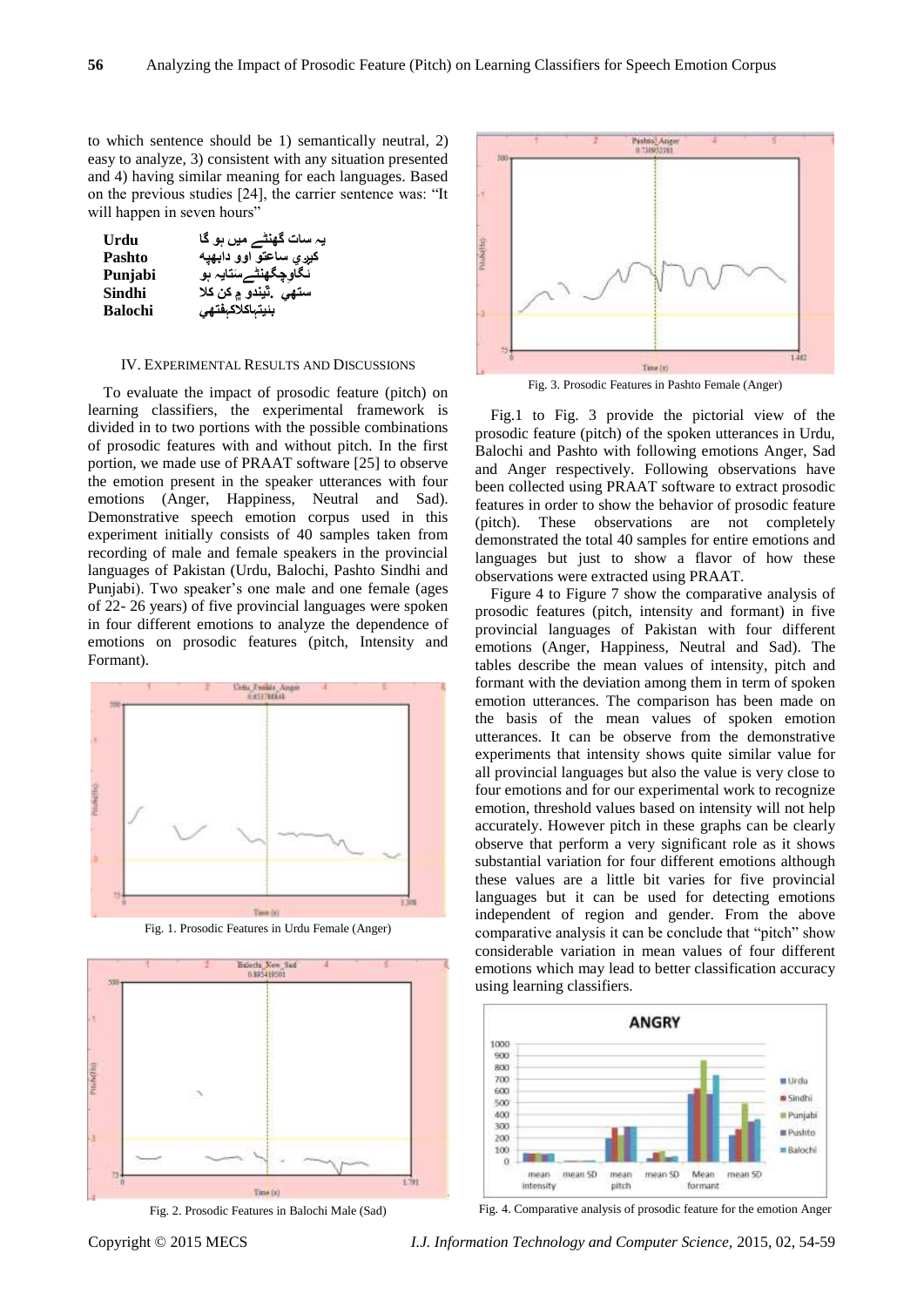to which sentence should be 1) semantically neutral, 2) easy to analyze, 3) consistent with any situation presented and 4) having similar meaning for each languages. Based on the previous studies [24], the carrier sentence was: "It will happen in seven hours"

| Urdu           | یہ سات گھنٹے میں ہو گا           |
|----------------|----------------------------------|
| <b>Pashto</b>  | کیږي ساعتو اوو دابهيه            |
| Punjabi        | نگاوچگهنٿےسَتايہ ہو              |
| Sindhi         | ستهي <sub>-</sub> ٽيندو ۾ کن کلا |
| <b>Balochi</b> | بئيتباكلاكب <b>ف</b> تهى         |

#### IV. EXPERIMENTAL RESULTS AND DISCUSSIONS

To evaluate the impact of prosodic feature (pitch) on learning classifiers, the experimental framework is divided in to two portions with the possible combinations of prosodic features with and without pitch. In the first portion, we made use of PRAAT software [25] to observe the emotion present in the speaker utterances with four emotions (Anger, Happiness, Neutral and Sad). Demonstrative speech emotion corpus used in this experiment initially consists of 40 samples taken from recording of male and female speakers in the provincial languages of Pakistan (Urdu, Balochi, Pashto Sindhi and Punjabi). Two speaker's one male and one female (ages of 22- 26 years) of five provincial languages were spoken in four different emotions to analyze the dependence of emotions on prosodic features (pitch, Intensity and Formant).



Fig. 1. Prosodic Features in Urdu Female (Anger)



Fig. 2. Prosodic Features in Balochi Male (Sad)



Fig. 3. Prosodic Features in Pashto Female (Anger)

Fig.1 to Fig. 3 provide the pictorial view of the prosodic feature (pitch) of the spoken utterances in Urdu, Balochi and Pashto with following emotions Anger, Sad and Anger respectively. Following observations have been collected using PRAAT software to extract prosodic features in order to show the behavior of prosodic feature (pitch). These observations are not completely demonstrated the total 40 samples for entire emotions and languages but just to show a flavor of how these observations were extracted using PRAAT.

Figure 4 to Figure 7 show the comparative analysis of prosodic features (pitch, intensity and formant) in five provincial languages of Pakistan with four different emotions (Anger, Happiness, Neutral and Sad). The tables describe the mean values of intensity, pitch and formant with the deviation among them in term of spoken emotion utterances. The comparison has been made on the basis of the mean values of spoken emotion utterances. It can be observe from the demonstrative experiments that intensity shows quite similar value for all provincial languages but also the value is very close to four emotions and for our experimental work to recognize emotion, threshold values based on intensity will not help accurately. However pitch in these graphs can be clearly observe that perform a very significant role as it shows substantial variation for four different emotions although these values are a little bit varies for five provincial languages but it can be used for detecting emotions independent of region and gender. From the above comparative analysis it can be conclude that "pitch" show considerable variation in mean values of four different emotions which may lead to better classification accuracy using learning classifiers.



Fig. 4. Comparative analysis of prosodic feature for the emotion Anger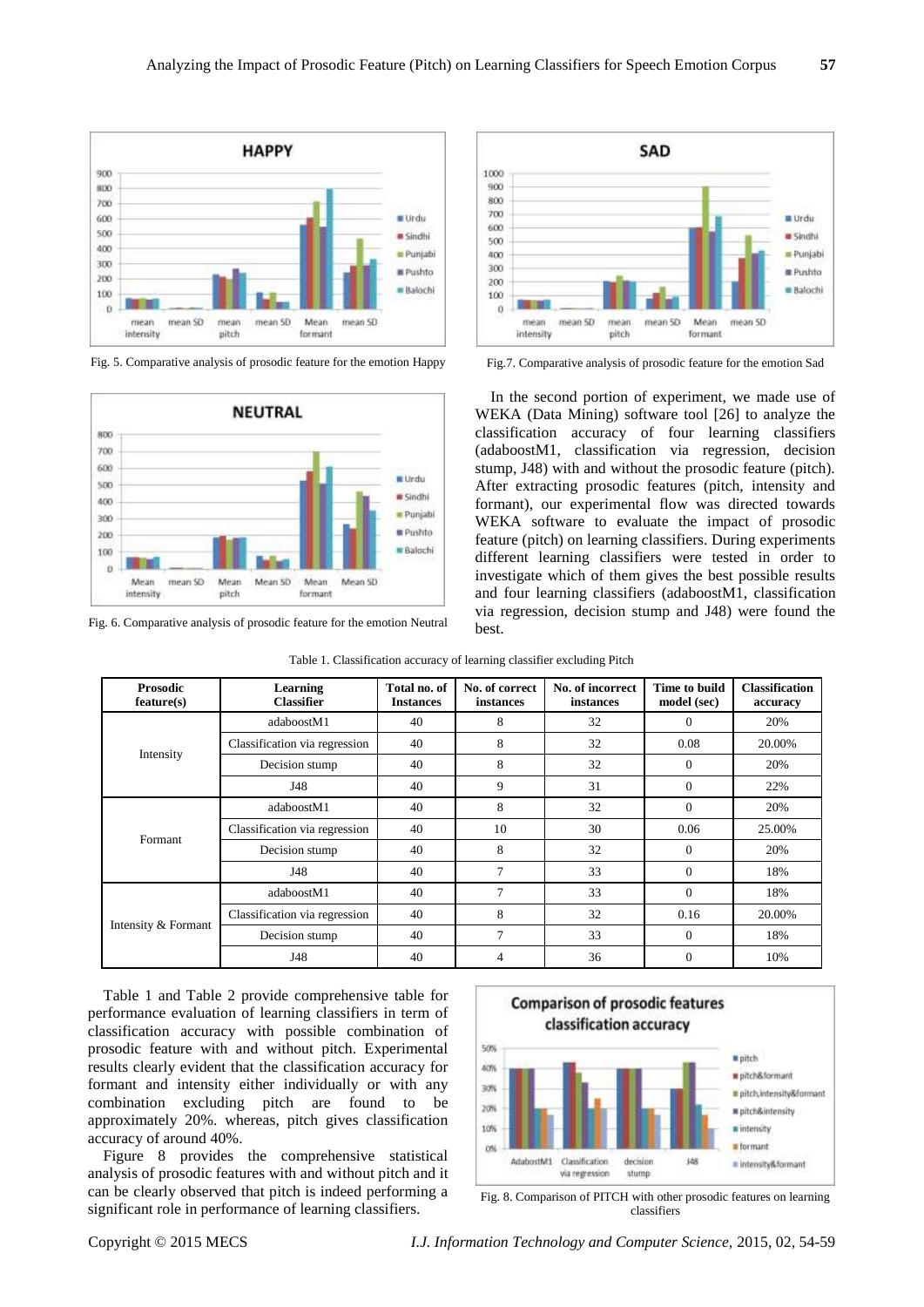

Fig. 5. Comparative analysis of prosodic feature for the emotion Happy



Fig. 6. Comparative analysis of prosodic feature for the emotion Neutral



Fig.7. Comparative analysis of prosodic feature for the emotion Sad

In the second portion of experiment, we made use of WEKA (Data Mining) software tool [26] to analyze the classification accuracy of four learning classifiers (adaboostM1, classification via regression, decision stump, J48) with and without the prosodic feature (pitch). After extracting prosodic features (pitch, intensity and formant), our experimental flow was directed towards WEKA software to evaluate the impact of prosodic feature (pitch) on learning classifiers. During experiments different learning classifiers were tested in order to investigate which of them gives the best possible results and four learning classifiers (adaboostM1, classification via regression, decision stump and J48) were found the best.

| Table 1. Classification accuracy of learning classifier excluding Pitch |  |  |  |
|-------------------------------------------------------------------------|--|--|--|
|                                                                         |  |  |  |

| <b>Prosodic</b><br>feature(s) | Learning<br><b>Classifier</b> | Total no. of<br><b>Instances</b> | No. of correct<br>instances | No. of incorrect<br>instances | Time to build<br>model (sec) | <b>Classification</b><br>accuracy |
|-------------------------------|-------------------------------|----------------------------------|-----------------------------|-------------------------------|------------------------------|-----------------------------------|
| Intensity                     | adaboostM1                    | 40                               | 8                           | 32                            | $\Omega$                     | 20%                               |
|                               | Classification via regression | 40                               | 8                           | 32                            | 0.08                         | 20.00%                            |
|                               | Decision stump                | 40                               | 8                           | 32                            | $\Omega$                     | 20%                               |
|                               | J48                           | 40                               | 9                           | 31                            | $\Omega$                     | 22%                               |
| Formant                       | adaboostM1                    | 40                               | 8                           | 32                            | $\Omega$                     | 20%                               |
|                               | Classification via regression | 40                               | 10                          | 30                            | 0.06                         | 25.00%                            |
|                               | Decision stump                | 40                               | 8                           | 32                            | $\Omega$                     | 20%                               |
|                               | J48                           | 40                               | 7                           | 33                            | $\Omega$                     | 18%                               |
| Intensity & Formant           | adaboostM1                    | 40                               | 7                           | 33                            | $\theta$                     | 18%                               |
|                               | Classification via regression | 40                               | 8                           | 32                            | 0.16                         | 20.00%                            |
|                               | Decision stump                | 40                               | $\overline{7}$              | 33                            | $\Omega$                     | 18%                               |
|                               | J48                           | 40                               | 4                           | 36                            | $\Omega$                     | 10%                               |

Table 1 and Table 2 provide comprehensive table for performance evaluation of learning classifiers in term of classification accuracy with possible combination of prosodic feature with and without pitch. Experimental results clearly evident that the classification accuracy for formant and intensity either individually or with any combination excluding pitch are found to be approximately 20%. whereas, pitch gives classification accuracy of around 40%.

Figure 8 provides the comprehensive statistical analysis of prosodic features with and without pitch and it can be clearly observed that pitch is indeed performing a significant role in performance of learning classifiers.



Fig. 8. Comparison of PITCH with other prosodic features on learning classifiers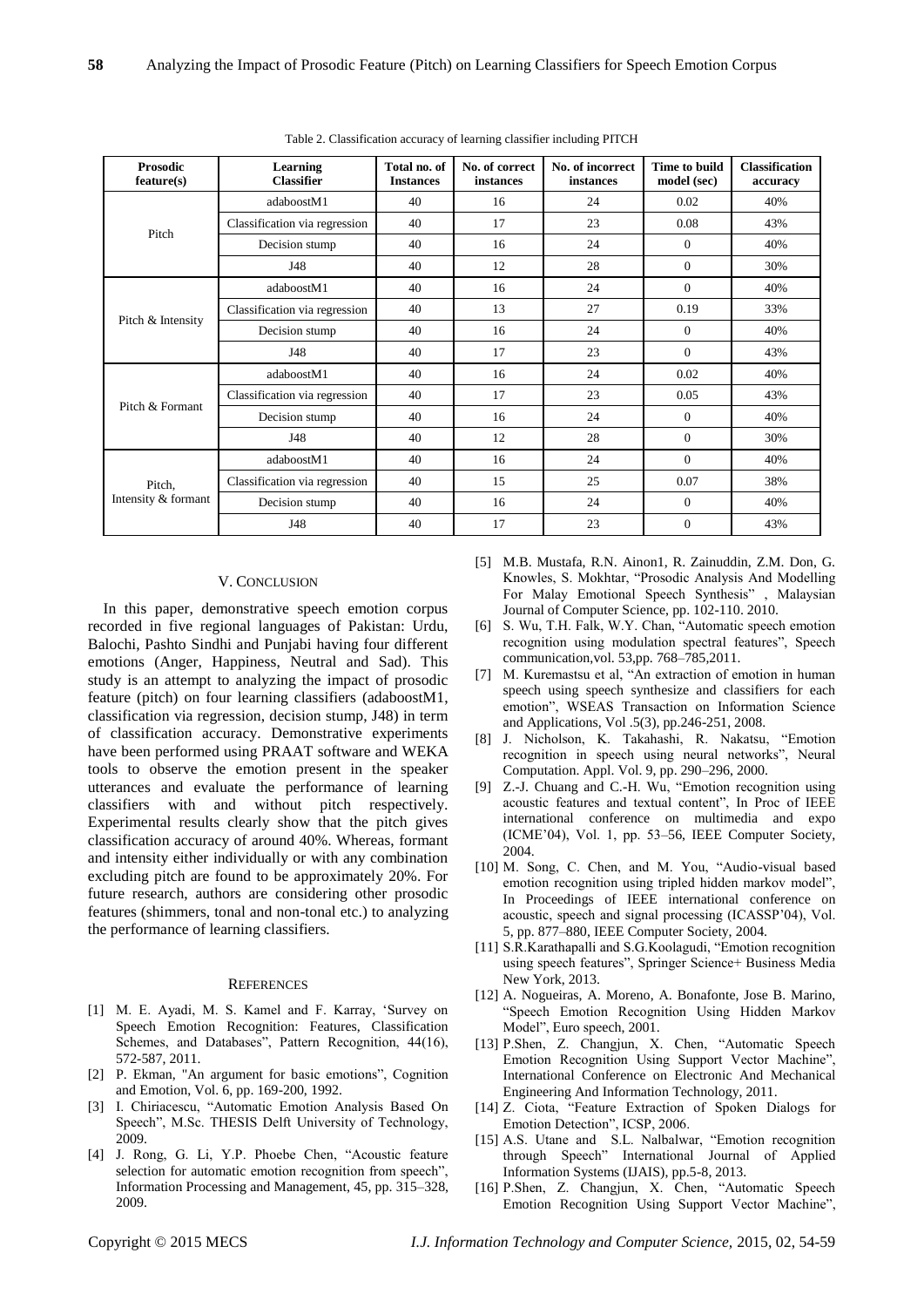| <b>Prosodic</b><br>feature(s) | Learning<br><b>Classifier</b> | Total no. of<br><b>Instances</b> | No. of correct<br>instances | No. of incorrect<br>instances | Time to build<br>model (sec) | <b>Classification</b><br>accuracy |
|-------------------------------|-------------------------------|----------------------------------|-----------------------------|-------------------------------|------------------------------|-----------------------------------|
| Pitch                         | adaboostM1                    | 40                               | 16                          | 24                            | 0.02                         | 40%                               |
|                               | Classification via regression | 40                               | 17                          | 23                            | 0.08                         | 43%                               |
|                               | Decision stump                | 40                               | 16                          | 24                            | $\mathbf{0}$                 | 40%                               |
|                               | J48                           | 40                               | 12                          | 28                            | $\mathbf{0}$                 | 30%                               |
| Pitch & Intensity             | adaboostM1                    | 40                               | 16                          | 24                            | $\mathbf{0}$                 | 40%                               |
|                               | Classification via regression | 40                               | 13                          | 27                            | 0.19                         | 33%                               |
|                               | Decision stump                | 40                               | 16                          | 24                            | $\mathbf{0}$                 | 40%                               |
|                               | J48                           | 40                               | 17                          | 23                            | $\Omega$                     | 43%                               |
| Pitch & Formant               | adaboostM1                    | 40                               | 16                          | 24                            | 0.02                         | 40%                               |
|                               | Classification via regression | 40                               | 17                          | 23                            | 0.05                         | 43%                               |
|                               | Decision stump                | 40                               | 16                          | 24                            | $\mathbf{0}$                 | 40%                               |
|                               | J48                           | 40                               | 12                          | 28                            | $\mathbf{0}$                 | 30%                               |
| Pitch,<br>Intensity & formant | adaboostM1                    | 40                               | 16                          | 24                            | $\mathbf{0}$                 | 40%                               |
|                               | Classification via regression | 40                               | 15                          | 25                            | 0.07                         | 38%                               |
|                               | Decision stump                | 40                               | 16                          | 24                            | $\mathbf{0}$                 | 40%                               |
|                               | J48                           | 40                               | 17                          | 23                            | $\mathbf{0}$                 | 43%                               |

Table 2. Classification accuracy of learning classifier including PITCH

#### V. CONCLUSION

In this paper, demonstrative speech emotion corpus recorded in five regional languages of Pakistan: Urdu, Balochi, Pashto Sindhi and Punjabi having four different emotions (Anger, Happiness, Neutral and Sad). This study is an attempt to analyzing the impact of prosodic feature (pitch) on four learning classifiers (adaboostM1, classification via regression, decision stump, J48) in term of classification accuracy. Demonstrative experiments have been performed using PRAAT software and WEKA tools to observe the emotion present in the speaker utterances and evaluate the performance of learning classifiers with and without pitch respectively. Experimental results clearly show that the pitch gives classification accuracy of around 40%. Whereas, formant and intensity either individually or with any combination excluding pitch are found to be approximately 20%. For future research, authors are considering other prosodic features (shimmers, tonal and non-tonal etc.) to analyzing the performance of learning classifiers.

#### **REFERENCES**

- [1] M. E. Ayadi, M. S. Kamel and F. Karray, 'Survey on Speech Emotion Recognition: Features, Classification Schemes, and Databases", Pattern Recognition, 44(16), 572-587, 2011.
- [2] P. Ekman, "An argument for basic emotions", Cognition and Emotion, Vol. 6, pp. 169-200, 1992.
- [3] I. Chiriacescu, "Automatic Emotion Analysis Based On Speech", M.Sc. THESIS Delft University of Technology, 2009.
- [4] J. Rong, G. Li, Y.P. Phoebe Chen, "Acoustic feature selection for automatic emotion recognition from speech", Information Processing and Management, 45, pp. 315–328, 2009.
- [5] M.B. Mustafa, R.N. Ainon1, R. Zainuddin, Z.M. Don, G. Knowles, S. Mokhtar, "Prosodic Analysis And Modelling For Malay Emotional Speech Synthesis" , Malaysian Journal of Computer Science, pp. 102-110. 2010.
- [6] S. Wu, T.H. Falk, W.Y. Chan, "Automatic speech emotion recognition using modulation spectral features", Speech communication,vol. 53,pp. 768–785,2011.
- [7] M. Kuremastsu et al, "An extraction of emotion in human speech using speech synthesize and classifiers for each emotion", WSEAS Transaction on Information Science and Applications, Vol .5(3), pp.246-251, 2008.
- [8] J. Nicholson, K. Takahashi, R. Nakatsu, "Emotion recognition in speech using neural networks", Neural Computation. Appl. Vol. 9, pp. 290–296, 2000.
- [9] Z.-J. Chuang and C.-H. Wu, "Emotion recognition using acoustic features and textual content", In Proc of IEEE international conference on multimedia and expo (ICME'04), Vol. 1, pp. 53–56, IEEE Computer Society, 2004.
- [10] M. Song, C. Chen, and M. You, "Audio-visual based emotion recognition using tripled hidden markov model", In Proceedings of IEEE international conference on acoustic, speech and signal processing (ICASSP'04), Vol. 5, pp. 877–880, IEEE Computer Society, 2004.
- [11] S.R.Karathapalli and S.G.Koolagudi, "Emotion recognition using speech features", Springer Science+ Business Media New York, 2013.
- [12] A. Nogueiras, A. Moreno, A. Bonafonte, Jose B. Marino, "Speech Emotion Recognition Using Hidden Markov Model", Euro speech, 2001.
- [13] P.Shen, Z. Changjun, X. Chen, "Automatic Speech Emotion Recognition Using Support Vector Machine", International Conference on Electronic And Mechanical Engineering And Information Technology, 2011.
- [14] Z. Ciota, "Feature Extraction of Spoken Dialogs for Emotion Detection", ICSP, 2006.
- [15] A.S. Utane and S.L. Nalbalwar, "Emotion recognition through Speech" International Journal of Applied Information Systems (IJAIS), pp.5-8, 2013.
- [16] P.Shen, Z. Changjun, X. Chen, "Automatic Speech Emotion Recognition Using Support Vector Machine",